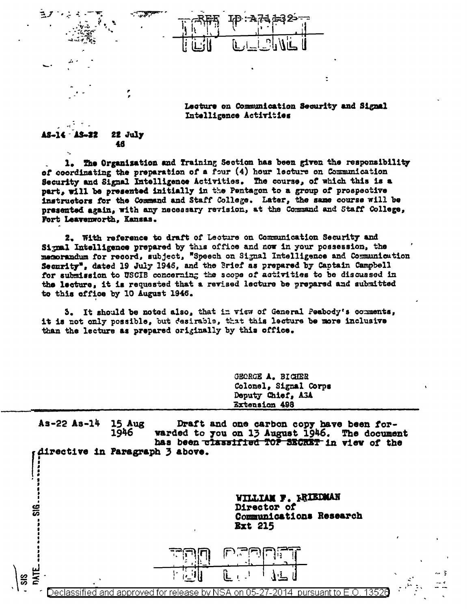Lecture on Communication Security and Signal Intelligence Activities

٠

## 22 July 22 46

T.

The Organisation and Iraining Section has been given the responsibility  $1.$ of coordinating the preparation of a four (4) hour lecture on Communication Security and Signal Intelligence Activities. The course, of which this is a part, will be presented initially in the Pentagon to a group of prospective instructors for the Command and Staff College. Later, the same course will be presented again, with any necessary revision, at the Command and Staff College, Fort Leavenworth, Kansas.

2. With reference to draft of Lecture on Communication Security and Signal Intelligence prepared by this office and now in your possession, the 's Security", dated 19 July 1946, and the Brief as prepared by Captain Campbell for submission to USCIB concerning the scope of activities to be discussed in the lecture, it is requested that a revised lecture be prepared and submitted to this office by 10 August 1946.

5. It should be noted also, that in view of General Peabody's comments, it is not only possible, but desirable, that this lecture be more inclusive than the lecture as prepared originally by this office.

> GEORGE A. BIGHER Colonel, Signal Corps Deputy Chief, A3A Extension 498

 $As-22 As-14$ **15 Aug** Draft and one carbon copy have been for-1946 warded to you on 13 August 1946. The document has been classified TOP SECRET in view of the directive in Paragraph 3 above.

> WILLIAM F. FRIEDMAN Director of Communications Research **Ext 215**

> > 3



135 approve hv. on O5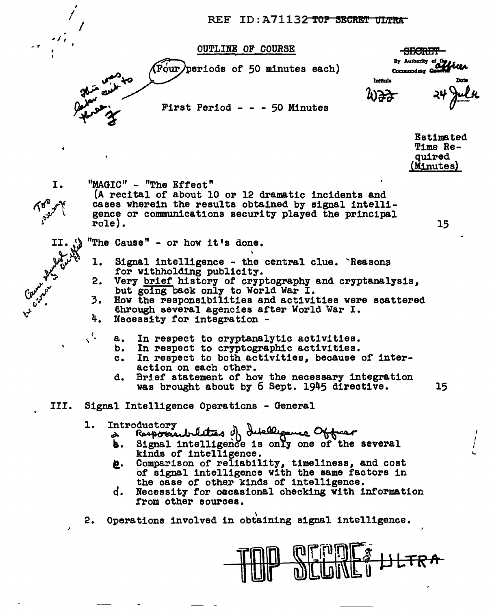REF ID: A71132 TOP SECRET ULTRA

**OUTLINE OF COURSE** 

 $\sqrt{\text{F}}$ our) periods of 50 minutes each)

First Period - - - 50 Minutes

<del>-SECRIFT</del> By Authority of the Commanding

Intilals

**Estimated** Time Re**quired** (Minutes)

15

- I.
- "MAGIC" "The Effect"

(A recital of about 10 or 12 dramatic incidents and cases wherein the results obtained by signal intelligence or communications security played the principal role).

"The Cause" - or how it's done.

- l. Signal intelligence - the central clue. Reasons for withholding publicity.
- 2. Very brief history of cryptography and cryptanalysis. but going back only to World War I.
- 3. How the responsibilities and activities were scattered through several agencies after World War I.
- 4. Necessity for integration -
	- In respect to cryptanalytic activities. **a.** 
		- In respect to cryptographic activities. b.
		- In respect to both activities, because of inter $c_{\bullet}$ action on each other.
		- Brief statement of how the necessary integration d. 15 was brought about by 6 Sept. 1945 directive.
- III. Signal Intelligence Operations - General

## l. Introductory

- Responsibilities of Intelligence Officer<br>Responsibilities of Hollow Of the several à
- b. . kinds of intelligence.
- Comparison of reliability, timeliness, and cost ë. of signal intelligence with the same factors in the case of other kinds of intelligence.
- ď. Necessity for occasional checking with information from other sources.
- 2. Operations involved in obtaining signal intelligence.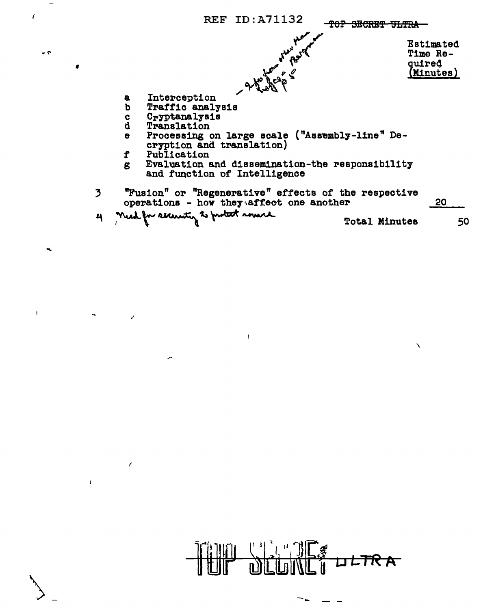

 $\mathbf{I}% _{0}\left( \mathbf{I}_{0}\right)$ 

 $\epsilon$ 

 $-7$ 

 $\mathbf{Q}_i$ 

 $\mathbf{I}$ 

 $\overline{z}$ 

 $\lambda$ 

 $\epsilon$ 

مد



∽…

 $\mathbf{A}$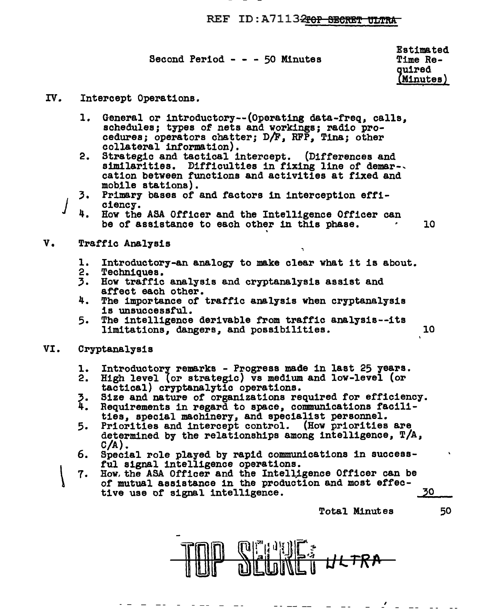## REF ID: A7113<del>2rop SECRET ULTRA</del>

Second Period - - - 50 Minutes

Estimated Time Reouired Minutes) :

- IV. Intercept Operations.
	- 1. General or introductory--(Operating data-freq, calls, schedules; types of nets and workings; radio pro-<br>cedures; operators chatter; D/F, RFP, Tina; other collateral information).
	- 2. Strategic and tactical intercept. (Differences and similarities. Difficulties in fixing line of demar-. cation between functions and activities at fixed and mobile stations).
	- 3. Primary bases of and factors in interception efficiency.
	- 4. How the ASA Officer and the Intelligence Officer can be of assistance to each other in this phase.  $\sim 10$
- v. Traffic Analysis
	- 1. Introductory-an analogy to make clear what it is about.
	- 2. Techniques.<br>3. How traffic
	- How traffic analysis and cryptanalysis assist and affect each other.
	- 4. The importance of traffic analysis when cryptanalysis is unsuccessful.<br>5. The intelligence derivable from traffic analysis--its
	- The intelligence derivable from traffic analysis--its limitations, dangers, and possibilities. 10
- VI. Cryptanalysis
	- 1.
	- 2.
	- '· 4.
	- Introductory remarks Progress made in last 25 years.<br>High level (or strategic) vs medium and low-level (or tactical) cryptanalytic operations.<br>Size and nature of organizations required for efficiency.<br>Requirements in reg
	- s. Priorities and intercept control. (How priorities are determined by the relationships among intelligence, T/A, C/A).
	- 6. Special role played by rapid communications in success-<br>ful signal intelligence operations.
	- $\vert$ 7. How. the ASA Officer and the Intelligence Officer can be of mutual assistance in the production and most effective use of signal intelligence.<br>Total Minutes 50

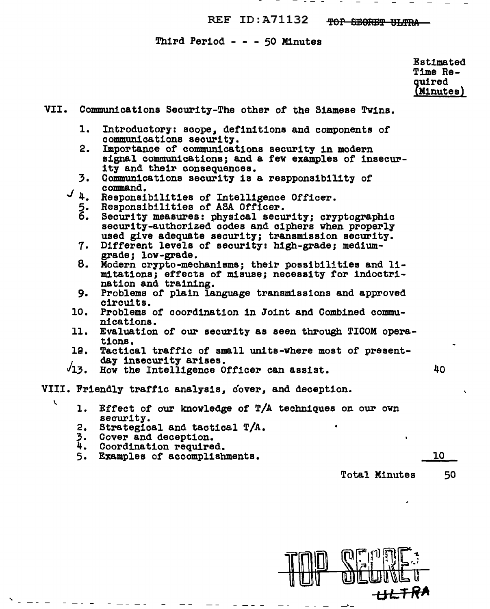REF ID:A71132 TOP SEORET ULTRA

Third Period  $- - 50$  Minutes

Estimated Time Required Minutes)

VII. Communications Security-The othe~ of the Siamese Twins. 1. Introductory: scope, definitions and components of communications security. 2. Importance of communications security in modern signal communications; and a few examples of insecur-<br>ity and their consequences.  $3.$ <br> $4.$ Communications security is a respponsibility of command. Responsibilities of Intelligence Officer. 5. Responsibilities of ASA Officer. 6. Security measures: physical security; cryptographic security-authorized codes and ciphers when properly used give adequate security; transmission security. Different levels of security: high-grade; medium-grade; low-grade. *1·*  8. Modern crypto-mechanisms; their possibilities and limitations; effects of misuse; necessity for indoctri-9. Problems of plain language transmissions and approved circuits. 10. Problems of coordination in Joint and Combined communications. 11. Evaluation of our security as seen through TICOM operations.  $12.$ Tactical traffic of small units-where most of present- day insecurity arises.  $\sqrt{13}$ . How the Intelligence Officer can assist. 40 VIII. Friendly traffic analysis, cover, and deception.  $\sim$  1. Effect of our knowledge of T/A techniques on our own security. 2. Strategical and tactical  $T/A$ .<br>3. Cover and deception. 4. Coordination required.<br>5. Examples of accomplishments. 10 Total Minutes 50